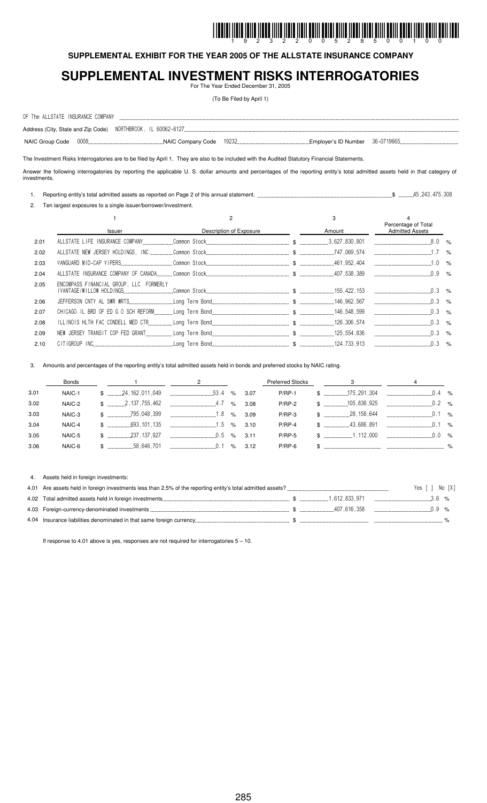# I INDINI İLDIN ÖLLÜ İLDUĞILIN İLDIN İLDIL ÖLLÜ ÖLLÜ ÖLLÜ ÖLLÜ İLDIL İLDIL ÖLLÜ ÖLLÜ ÖLLÜ ÖLLÜ ÖLLÜ ILDIL

#### **SUPPLEMENTAL EXHIBIT FOR THE YEAR 2005 OF THE ALLSTATE INSURANCE COMPANY**

#### **SUPPLEMENTAL INVESTMENT RISKS INTERROGATORIES** For The Year Ended December 31, 2005

(To Be Filed by April 1)

| OF The ALLSTATE INSURANCE COMPANY |  |       |  |  |
|-----------------------------------|--|-------|--|--|
|                                   |  |       |  |  |
|                                   |  | 19232 |  |  |

The Investment Risks Interrogatories are to be filed by April 1. They are also to be included with the Audited Statutory Financial Statements.

Answer the following interrogatories by reporting the applicable U. S. dollar amounts and percentages of the reporting entity's total admitted assets held in that category of investments.

1. Reporting entity's total admitted assets as reported on Page 2 of this annual statement. \$ ! !!

2. Ten largest exposures to a single issuer/borrower/investment.

|      |                                         |                         | 3      | Percentage of Total    |  |
|------|-----------------------------------------|-------------------------|--------|------------------------|--|
|      | <b>Issuer</b>                           | Description of Exposure | Amount | <b>Admitted Assets</b> |  |
| 2.01 |                                         |                         |        |                        |  |
| 2.02 |                                         |                         |        |                        |  |
| 2.03 |                                         |                         |        |                        |  |
| 2.04 |                                         |                         |        |                        |  |
| 2.05 | ENCOMPASS FINANCIAL GROUP, LLC FORMERLY |                         |        |                        |  |
| 2.06 |                                         |                         |        |                        |  |
| 2.07 |                                         |                         |        |                        |  |
| 2.08 |                                         |                         |        |                        |  |
| 2.09 |                                         |                         |        |                        |  |
| 2.10 |                                         |                         |        |                        |  |

3. Amounts and percentages of the reporting entity's total admitted assets held in bonds and preferred stocks by NAIC rating.

|      | Bonds  |  | $\sim$ 1 $\sim$ 2                                                                                                                                                                                                                                                                                                               |  |               | Preferred Stocks 3 |  |
|------|--------|--|---------------------------------------------------------------------------------------------------------------------------------------------------------------------------------------------------------------------------------------------------------------------------------------------------------------------------------|--|---------------|--------------------|--|
| 3.01 | NAIC-1 |  | $\frac{1}{2}$ $\frac{1}{2}$ $\frac{1}{2}$ $\frac{1}{2}$ $\frac{1}{2}$ $\frac{1}{2}$ $\frac{1}{2}$ $\frac{1}{2}$ $\frac{1}{2}$ $\frac{1}{2}$ $\frac{1}{2}$ $\frac{1}{2}$ $\frac{1}{2}$ $\frac{1}{2}$ $\frac{1}{2}$ $\frac{1}{2}$ $\frac{1}{2}$ $\frac{1}{2}$ $\frac{1}{2}$ $\frac{1}{2}$ $\frac{1}{2}$ $\frac{1}{2}$             |  |               |                    |  |
| 3.02 | NAIC-2 |  | $\frac{1}{2}$ , $\frac{1}{2}$ , $\frac{1}{2}$ , $\frac{1}{2}$ , $\frac{1}{2}$ , $\frac{1}{2}$ , $\frac{1}{2}$ , $\frac{1}{2}$ , $\frac{1}{2}$ , $\frac{1}{2}$ , $\frac{1}{2}$ , $\frac{1}{2}$ , $\frac{1}{2}$ , $\frac{1}{2}$ , $\frac{1}{2}$ , $\frac{1}{2}$ , $\frac{1}{2}$ , $\frac{1}{2}$ , $\frac{1}{2}$ , $\frac{1}{2}$ , |  | $P/RP-2$      |                    |  |
| 3.03 | NAIC-3 |  | $$$ $3.09$                                                                                                                                                                                                                                                                                                                      |  |               |                    |  |
| 3.04 | NAIC-4 |  | $\frac{1}{2}$ $\frac{1}{2}$ $\frac{1}{2}$ $\frac{1}{2}$ $\frac{1}{2}$ $\frac{1}{2}$ $\frac{1}{2}$ $\frac{1}{2}$ $\frac{1}{2}$ $\frac{1}{2}$ $\frac{1}{2}$ $\frac{1}{2}$ $\frac{1}{2}$ $\frac{1}{2}$ $\frac{1}{2}$ $\frac{1}{2}$ $\frac{1}{2}$ $\frac{1}{2}$ $\frac{1}{2}$ $\frac{1}{2}$ $\frac{1}{2}$ $\frac{1}{2}$             |  | $P/RP-4$      |                    |  |
| 3.05 | NAIC-5 |  | $\frac{1}{2}$ $\frac{1}{2}$ $\frac{1}{2}$ $\frac{1}{2}$ $\frac{1}{2}$ $\frac{1}{2}$ $\frac{1}{2}$ $\frac{1}{2}$ $\frac{1}{2}$ $\frac{1}{2}$ $\frac{1}{2}$ $\frac{1}{2}$ $\frac{1}{2}$ $\frac{1}{2}$ $\frac{1}{2}$ $\frac{1}{2}$ $\frac{1}{2}$ $\frac{1}{2}$ $\frac{1}{2}$ $\frac{1}{2}$ $\frac{1}{2}$ $\frac{1}{2}$             |  | <b>P/RP-5</b> |                    |  |
| 3.06 |        |  |                                                                                                                                                                                                                                                                                                                                 |  |               |                    |  |

#### 4. Assets held in foreign investments:

|                                                                                                                                                                                                                                                                                                                     | Yes [ ] No [X] |  |
|---------------------------------------------------------------------------------------------------------------------------------------------------------------------------------------------------------------------------------------------------------------------------------------------------------------------|----------------|--|
|                                                                                                                                                                                                                                                                                                                     |                |  |
| $\frac{1}{2}$ $\frac{1}{2}$ $\frac{1}{2}$ $\frac{1}{2}$ $\frac{1}{2}$ $\frac{1}{2}$ $\frac{1}{2}$ $\frac{1}{2}$ $\frac{1}{2}$ $\frac{1}{2}$ $\frac{1}{2}$ $\frac{1}{2}$ $\frac{1}{2}$ $\frac{1}{2}$ $\frac{1}{2}$ $\frac{1}{2}$ $\frac{1}{2}$ $\frac{1}{2}$ $\frac{1}{2}$ $\frac{1}{2}$ $\frac{1}{2}$ $\frac{1}{2}$ |                |  |
|                                                                                                                                                                                                                                                                                                                     |                |  |

If response to 4.01 above is yes, responses are not required for interrogatories  $5 - 10$ .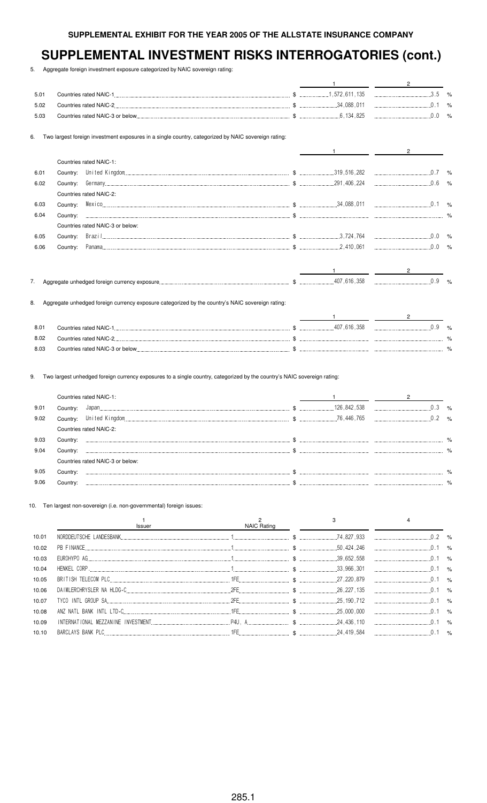5. Aggregate foreign investment exposure categorized by NAIC sovereign rating:

| 5.01 |                                                                                                     |  |                      | $\%$ |
|------|-----------------------------------------------------------------------------------------------------|--|----------------------|------|
| 5.02 |                                                                                                     |  |                      |      |
| 5.03 |                                                                                                     |  |                      | $\%$ |
| 6.   | Two largest foreign investment exposures in a single country, categorized by NAIC sovereign rating: |  |                      |      |
|      |                                                                                                     |  | $\mathbf{2}^{\circ}$ |      |
|      | Countries rated NAIC-1:                                                                             |  |                      |      |
| 6.01 | Country:                                                                                            |  |                      |      |
| 6.02 | Country:                                                                                            |  |                      |      |
|      | Countries rated NAIC-2:                                                                             |  |                      |      |
| 6.03 | Country:                                                                                            |  |                      |      |
| 6.04 | Country:                                                                                            |  |                      |      |
|      | Countries rated NAIC-3 or below:                                                                    |  |                      |      |
| 6.05 | Country:                                                                                            |  |                      |      |
| 6.06 | Country:                                                                                            |  |                      |      |
|      |                                                                                                     |  |                      |      |
|      |                                                                                                     |  |                      |      |

| $8.0^+$ | <b>Countries rated NAIC-1</b>   | 407.616.358 | $\%$          |
|---------|---------------------------------|-------------|---------------|
| 8.02    | Countries rated NAIC-2.         |             | $\frac{9}{6}$ |
| 8.03    | Countries rated NAIC-3 or below |             | O/            |

9. Two largest unhedged foreign currency exposures to a single country, categorized by the country's NAIC sovereign rating:

|      |          | Countries rated NAIC-1:          |               |               |
|------|----------|----------------------------------|---------------|---------------|
| 9.01 | Country: |                                  | 126, 842, 538 | $\frac{1}{2}$ |
| 9.02 | Country: |                                  |               | $\frac{9}{6}$ |
|      |          | Countries rated NAIC-2:          |               |               |
| 9.03 | Country: |                                  |               | %             |
| 9.04 | Country: |                                  |               | $\frac{1}{2}$ |
|      |          | Countries rated NAIC-3 or below: |               |               |
| 9.05 | Country: |                                  |               |               |
| 9.06 |          |                                  |               |               |

10. Ten largest non-sovereign (i.e. non-governmental) foreign issues:

|       | Issuer | NAIC Rating |  |  |
|-------|--------|-------------|--|--|
| 10.01 |        |             |  |  |
| 10.02 |        |             |  |  |
| 10.03 |        |             |  |  |
| 10.04 |        |             |  |  |
| 10.05 |        |             |  |  |
| 10.06 |        |             |  |  |
| 10.07 |        |             |  |  |
| 10.08 |        |             |  |  |
| 10.09 |        |             |  |  |
| 10.10 |        |             |  |  |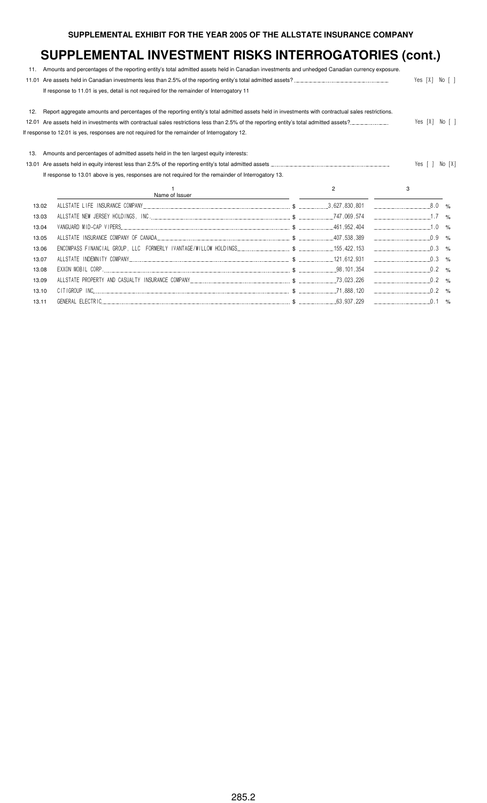| 11.   | Amounts and percentages of the reporting entity's total admitted assets held in Canadian investments and unhedged Canadian currency exposure.     |  |   |                |        |  |  |  |
|-------|---------------------------------------------------------------------------------------------------------------------------------------------------|--|---|----------------|--------|--|--|--|
| 11.01 |                                                                                                                                                   |  |   | Yes [X] No [ ] |        |  |  |  |
|       | If response to 11.01 is yes, detail is not required for the remainder of Interrogatory 11                                                         |  |   |                |        |  |  |  |
| 12.   | Report aggregate amounts and percentages of the reporting entity's total admitted assets held in investments with contractual sales restrictions. |  |   |                |        |  |  |  |
|       |                                                                                                                                                   |  |   |                |        |  |  |  |
|       | If response to 12.01 is yes, responses are not required for the remainder of Interrogatory 12.                                                    |  |   |                |        |  |  |  |
| 13.   | Amounts and percentages of admitted assets held in the ten largest equity interests:                                                              |  |   |                |        |  |  |  |
| 13.01 |                                                                                                                                                   |  |   | Yes [ ]        | No [X] |  |  |  |
|       | If response to 13.01 above is yes, responses are not required for the remainder of Interrogatory 13.                                              |  |   |                |        |  |  |  |
|       |                                                                                                                                                   |  |   |                |        |  |  |  |
|       | Name of Issuer                                                                                                                                    |  | 2 | 3              |        |  |  |  |
| 13.02 |                                                                                                                                                   |  |   | $8.0\degree$ % |        |  |  |  |
| 13.03 |                                                                                                                                                   |  |   | $1.7\degree\%$ |        |  |  |  |
| 13.04 |                                                                                                                                                   |  |   | $\ldots$ 1.0 % |        |  |  |  |
| 13.05 |                                                                                                                                                   |  |   | $0.9$ %        |        |  |  |  |
| 13.06 |                                                                                                                                                   |  |   | $0.3$ %        |        |  |  |  |
| 13.07 |                                                                                                                                                   |  |   |                |        |  |  |  |
| 13.08 |                                                                                                                                                   |  |   | $0.2$ %        |        |  |  |  |
| 13.09 |                                                                                                                                                   |  |   | $0.2$ %        |        |  |  |  |
| 13.10 |                                                                                                                                                   |  |   | $\ldots$ 0.2 % |        |  |  |  |
| 13.11 |                                                                                                                                                   |  |   |                |        |  |  |  |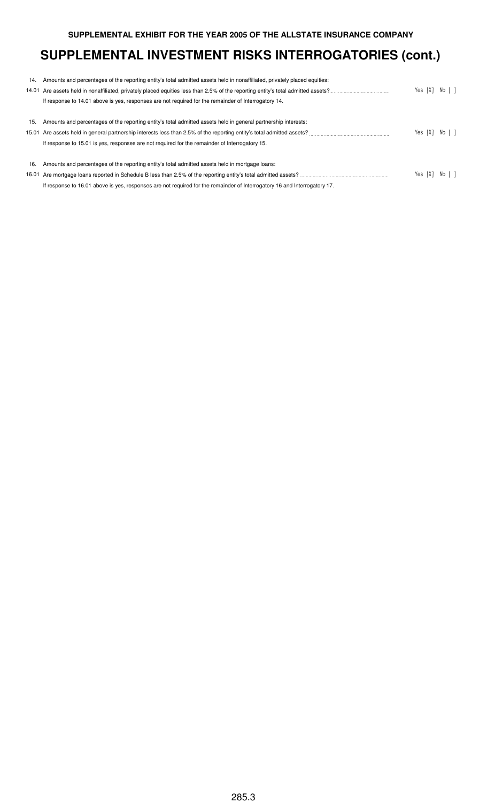|     | 14. Amounts and percentages of the reporting entity's total admitted assets held in nonaffiliated, privately placed equities: |  |                      |  |
|-----|-------------------------------------------------------------------------------------------------------------------------------|--|----------------------|--|
|     |                                                                                                                               |  | Yes [X] No [ ]       |  |
|     | If response to 14.01 above is yes, responses are not required for the remainder of Interrogatory 14.                          |  |                      |  |
|     |                                                                                                                               |  |                      |  |
| 15. | Amounts and percentages of the reporting entity's total admitted assets held in general partnership interests:                |  |                      |  |
|     | 15.01 Are assets held in general partnership interests less than 2.5% of the reporting entity's total admitted assets?        |  | Yes $[X]$ No $[$ $]$ |  |
|     | If response to 15.01 is yes, responses are not required for the remainder of Interrogatory 15.                                |  |                      |  |
|     |                                                                                                                               |  |                      |  |
| 16. | Amounts and percentages of the reporting entity's total admitted assets held in mortgage loans:                               |  |                      |  |
|     |                                                                                                                               |  | Yes [X] No [ ]       |  |
|     | If response to 16.01 above is yes, responses are not required for the remainder of Interrogatory 16 and Interrogatory 17.     |  |                      |  |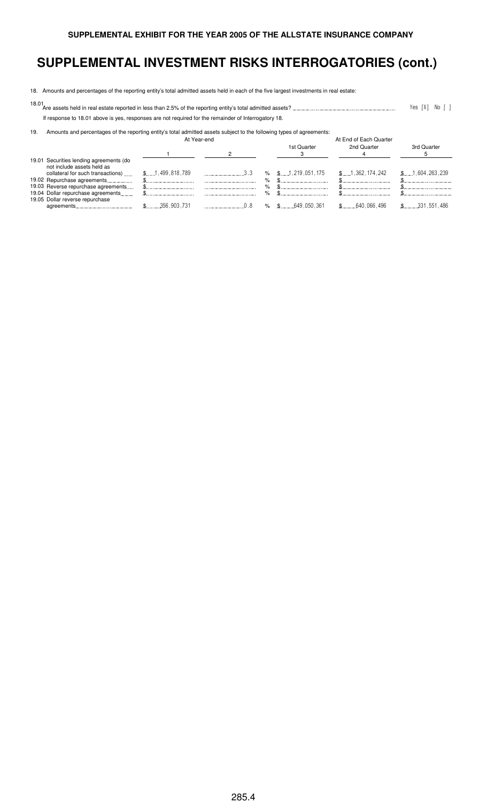18. Amounts and percentages of the reporting entity's total admitted assets held in each of the five largest investments in real estate:

18.01 Are assets held in real estate reported in less than 2.5% of the reporting entity's total admitted assets? 2 354 " 3 4

If response to 18.01 above is yes, responses are not required for the remainder of Interrogatory 18.

19. Amounts and percentages of the reporting entity's total admitted assets subject to the following types of agreements:

|                                                                                                            | At Year-end     |      |        | At End of Each Quarter  |                 |                         |  |  |  |
|------------------------------------------------------------------------------------------------------------|-----------------|------|--------|-------------------------|-----------------|-------------------------|--|--|--|
|                                                                                                            |                 |      |        | 1st Quarter             | 2nd Quarter     | 3rd Quarter             |  |  |  |
| 19.01 Securities lending agreements (do<br>not include assets held as<br>collateral for such transactions) | \$1,499,818,789 | 3.3  |        | $\%$ \$1, 219, 051, 175 | \$1,362,174,242 | \$1,604,263,239         |  |  |  |
| 19.02 Repurchase agreements                                                                                |                 |      | %      |                         |                 |                         |  |  |  |
| 19.03 Reverse repurchase agreements<br>19.04 Dollar repurchase agreements                                  |                 | <br> | %<br>% |                         |                 |                         |  |  |  |
| 19.05 Dollar reverse repurchase                                                                            | 356,903,731     |      |        | $\%$ \$ , 649.050.361   | $$$ 640,066,496 | $\text{\$}$ 331,551,486 |  |  |  |